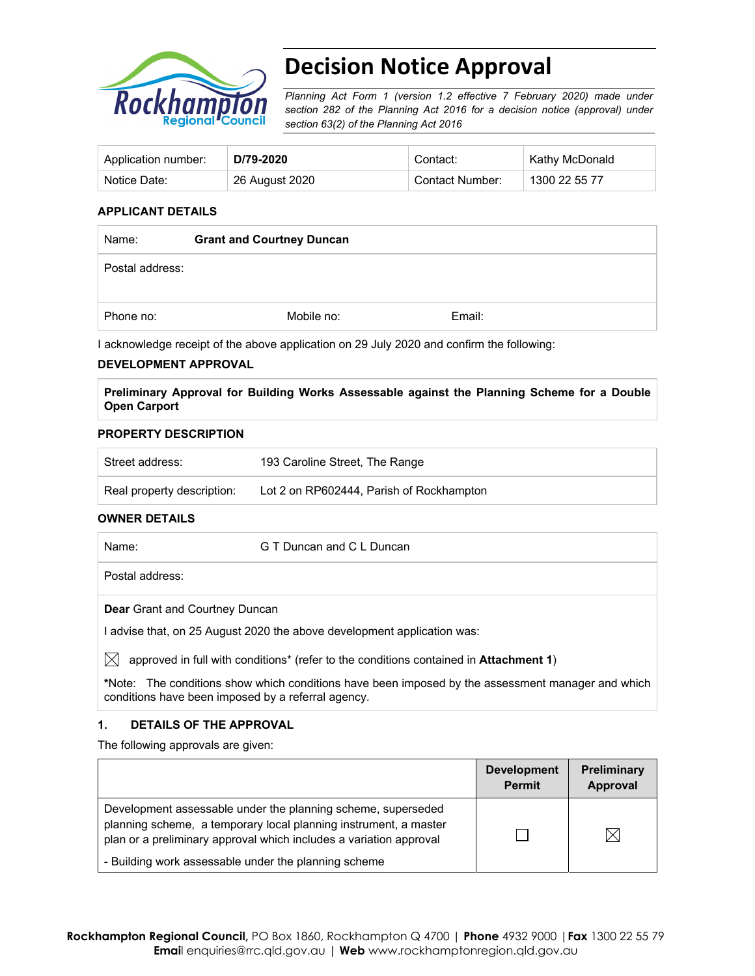

# **Decision Notice Approval**

*Planning Act Form 1 (version 1.2 effective 7 February 2020) made under section 282 of the Planning Act 2016 for a decision notice (approval) under section 63(2) of the Planning Act 2016*

| Application number: | D/79-2020      | Contact:        | Kathy McDonald |
|---------------------|----------------|-----------------|----------------|
| Notice Date:        | 26 August 2020 | Contact Number: | 1300 22 55 77  |

#### **APPLICANT DETAILS**

| Name:           | <b>Grant and Courtney Duncan</b> |        |  |
|-----------------|----------------------------------|--------|--|
| Postal address: |                                  |        |  |
| Phone no:       | Mobile no:                       | Email: |  |

I acknowledge receipt of the above application on 29 July 2020 and confirm the following:

#### **DEVELOPMENT APPROVAL**

**Preliminary Approval for Building Works Assessable against the Planning Scheme for a Double Open Carport** 

#### **PROPERTY DESCRIPTION**

| ˈ Street address:          | 193 Caroline Street, The Range           |
|----------------------------|------------------------------------------|
| Real property description: | Lot 2 on RP602444, Parish of Rockhampton |

## **OWNER DETAILS**

| Name:             | G T Duncan and C L Duncan |  |
|-------------------|---------------------------|--|
| ็ Postal address: |                           |  |

**Dear** Grant and Courtney Duncan

I advise that, on 25 August 2020 the above development application was:

 $\boxtimes$  approved in full with conditions<sup>\*</sup> (refer to the conditions contained in **Attachment 1**)

**\***Note:The conditions show which conditions have been imposed by the assessment manager and which conditions have been imposed by a referral agency.

#### **1. DETAILS OF THE APPROVAL**

The following approvals are given:

|                                                                                                                                                                                                        | <b>Development</b><br><b>Permit</b> | <b>Preliminary</b><br>Approval |
|--------------------------------------------------------------------------------------------------------------------------------------------------------------------------------------------------------|-------------------------------------|--------------------------------|
| Development assessable under the planning scheme, superseded<br>planning scheme, a temporary local planning instrument, a master<br>plan or a preliminary approval which includes a variation approval |                                     | 'X                             |
| - Building work assessable under the planning scheme                                                                                                                                                   |                                     |                                |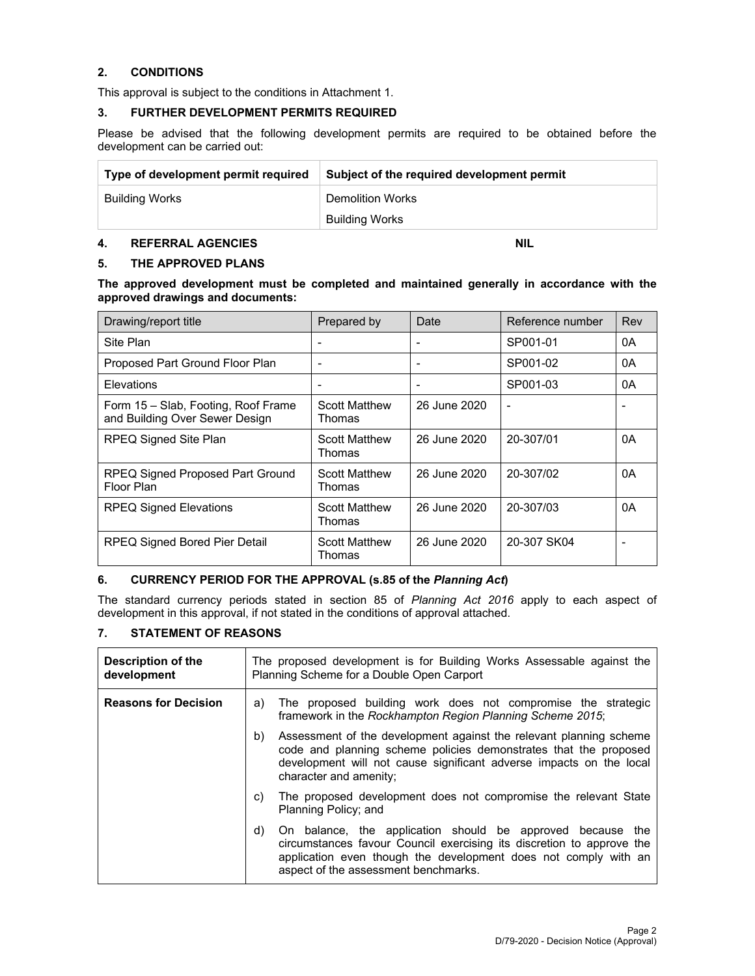#### **2. CONDITIONS**

This approval is subject to the conditions in Attachment 1.

#### **3. FURTHER DEVELOPMENT PERMITS REQUIRED**

Please be advised that the following development permits are required to be obtained before the development can be carried out:

| Type of development permit required | Subject of the required development permit |
|-------------------------------------|--------------------------------------------|
| Building Works                      | <b>Demolition Works</b>                    |
|                                     | Building Works                             |

#### **4. REFERRAL AGENCIES NIL AND REFERRAL AGENCIES**

#### **5. THE APPROVED PLANS**

**The approved development must be completed and maintained generally in accordance with the approved drawings and documents:** 

| Drawing/report title                                                  | Prepared by                    | Date         | Reference number | Rev |
|-----------------------------------------------------------------------|--------------------------------|--------------|------------------|-----|
| Site Plan                                                             |                                |              | SP001-01         | 0A  |
| Proposed Part Ground Floor Plan                                       |                                |              | SP001-02         | 0A  |
| Elevations                                                            |                                |              | SP001-03         | 0A  |
| Form 15 - Slab, Footing, Roof Frame<br>and Building Over Sewer Design | <b>Scott Matthew</b><br>Thomas | 26 June 2020 |                  |     |
| RPEQ Signed Site Plan                                                 | <b>Scott Matthew</b><br>Thomas | 26 June 2020 | 20-307/01        | 0A  |
| RPEQ Signed Proposed Part Ground<br>Floor Plan                        | <b>Scott Matthew</b><br>Thomas | 26 June 2020 | 20-307/02        | 0A  |
| <b>RPEQ Signed Elevations</b>                                         | <b>Scott Matthew</b><br>Thomas | 26 June 2020 | 20-307/03        | 0A  |
| <b>RPEQ Signed Bored Pier Detail</b>                                  | <b>Scott Matthew</b><br>Thomas | 26 June 2020 | 20-307 SK04      |     |

#### **6. CURRENCY PERIOD FOR THE APPROVAL (s.85 of the** *Planning Act***)**

The standard currency periods stated in section 85 of *Planning Act 2016* apply to each aspect of development in this approval, if not stated in the conditions of approval attached.

#### **7. STATEMENT OF REASONS**

| Description of the<br>development | The proposed development is for Building Works Assessable against the<br>Planning Scheme for a Double Open Carport                                                                                                                                   |  |  |  |
|-----------------------------------|------------------------------------------------------------------------------------------------------------------------------------------------------------------------------------------------------------------------------------------------------|--|--|--|
| <b>Reasons for Decision</b>       | The proposed building work does not compromise the strategic<br>a)<br>framework in the Rockhampton Region Planning Scheme 2015;                                                                                                                      |  |  |  |
|                                   | Assessment of the development against the relevant planning scheme<br>b)<br>code and planning scheme policies demonstrates that the proposed<br>development will not cause significant adverse impacts on the local<br>character and amenity;        |  |  |  |
|                                   | The proposed development does not compromise the relevant State<br>C)<br>Planning Policy; and                                                                                                                                                        |  |  |  |
|                                   | On balance, the application should be approved because the<br>d)<br>circumstances favour Council exercising its discretion to approve the<br>application even though the development does not comply with an<br>aspect of the assessment benchmarks. |  |  |  |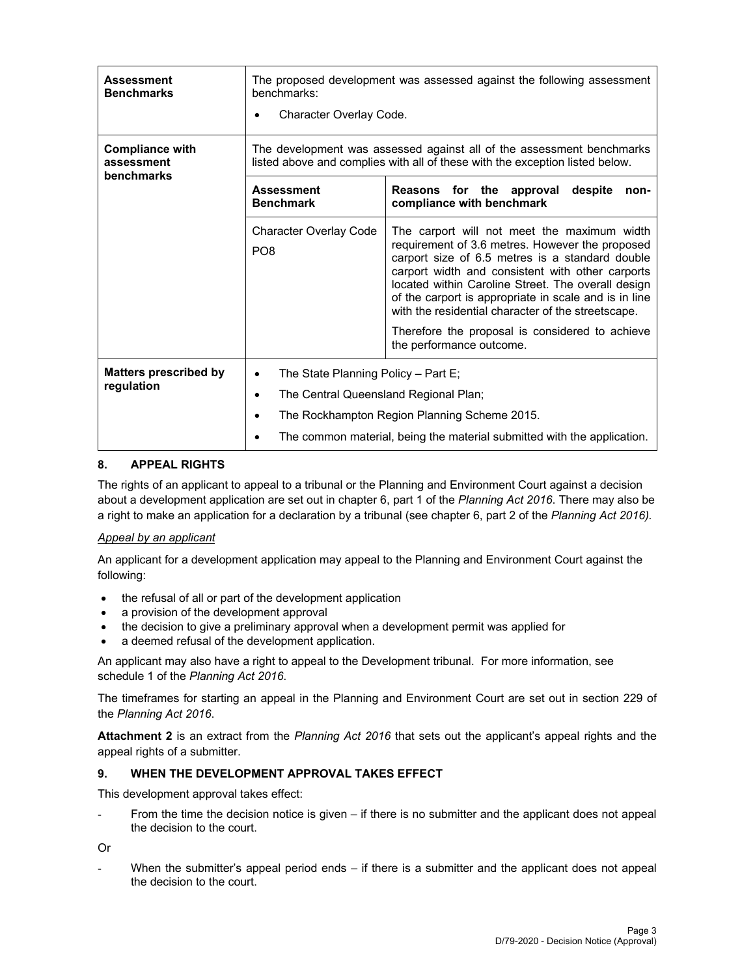| Assessment<br><b>Benchmarks</b>                    | The proposed development was assessed against the following assessment<br>benchmarks:<br>Character Overlay Code.                                      |                                                                                                                                                                                                                                                                                                                                                                            |  |  |  |
|----------------------------------------------------|-------------------------------------------------------------------------------------------------------------------------------------------------------|----------------------------------------------------------------------------------------------------------------------------------------------------------------------------------------------------------------------------------------------------------------------------------------------------------------------------------------------------------------------------|--|--|--|
| <b>Compliance with</b><br>assessment<br>benchmarks | The development was assessed against all of the assessment benchmarks<br>listed above and complies with all of these with the exception listed below. |                                                                                                                                                                                                                                                                                                                                                                            |  |  |  |
|                                                    | <b>Assessment</b><br><b>Benchmark</b>                                                                                                                 | Reasons for the approval<br>despite<br>non-<br>compliance with benchmark                                                                                                                                                                                                                                                                                                   |  |  |  |
|                                                    | <b>Character Overlay Code</b><br>PO <sub>8</sub>                                                                                                      | The carport will not meet the maximum width<br>requirement of 3.6 metres. However the proposed<br>carport size of 6.5 metres is a standard double<br>carport width and consistent with other carports<br>located within Caroline Street. The overall design<br>of the carport is appropriate in scale and is in line<br>with the residential character of the streetscape. |  |  |  |
|                                                    |                                                                                                                                                       | Therefore the proposal is considered to achieve<br>the performance outcome.                                                                                                                                                                                                                                                                                                |  |  |  |
| <b>Matters prescribed by</b>                       | The State Planning Policy - Part E;<br>٠                                                                                                              |                                                                                                                                                                                                                                                                                                                                                                            |  |  |  |
| regulation                                         | The Central Queensland Regional Plan;<br>٠                                                                                                            |                                                                                                                                                                                                                                                                                                                                                                            |  |  |  |
|                                                    |                                                                                                                                                       | The Rockhampton Region Planning Scheme 2015.                                                                                                                                                                                                                                                                                                                               |  |  |  |
|                                                    | The common material, being the material submitted with the application.                                                                               |                                                                                                                                                                                                                                                                                                                                                                            |  |  |  |

#### **8. APPEAL RIGHTS**

The rights of an applicant to appeal to a tribunal or the Planning and Environment Court against a decision about a development application are set out in chapter 6, part 1 of the *Planning Act 2016*. There may also be a right to make an application for a declaration by a tribunal (see chapter 6, part 2 of the *Planning Act 2016).*

#### *Appeal by an applicant*

An applicant for a development application may appeal to the Planning and Environment Court against the following:

- the refusal of all or part of the development application
- a provision of the development approval
- the decision to give a preliminary approval when a development permit was applied for
- a deemed refusal of the development application.

An applicant may also have a right to appeal to the Development tribunal. For more information, see schedule 1 of the *Planning Act 2016*.

The timeframes for starting an appeal in the Planning and Environment Court are set out in section 229 of the *Planning Act 2016*.

**Attachment 2** is an extract from the *Planning Act 2016* that sets out the applicant's appeal rights and the appeal rights of a submitter.

#### **9. WHEN THE DEVELOPMENT APPROVAL TAKES EFFECT**

This development approval takes effect:

From the time the decision notice is given  $-$  if there is no submitter and the applicant does not appeal the decision to the court.

Or

When the submitter's appeal period ends  $-$  if there is a submitter and the applicant does not appeal the decision to the court.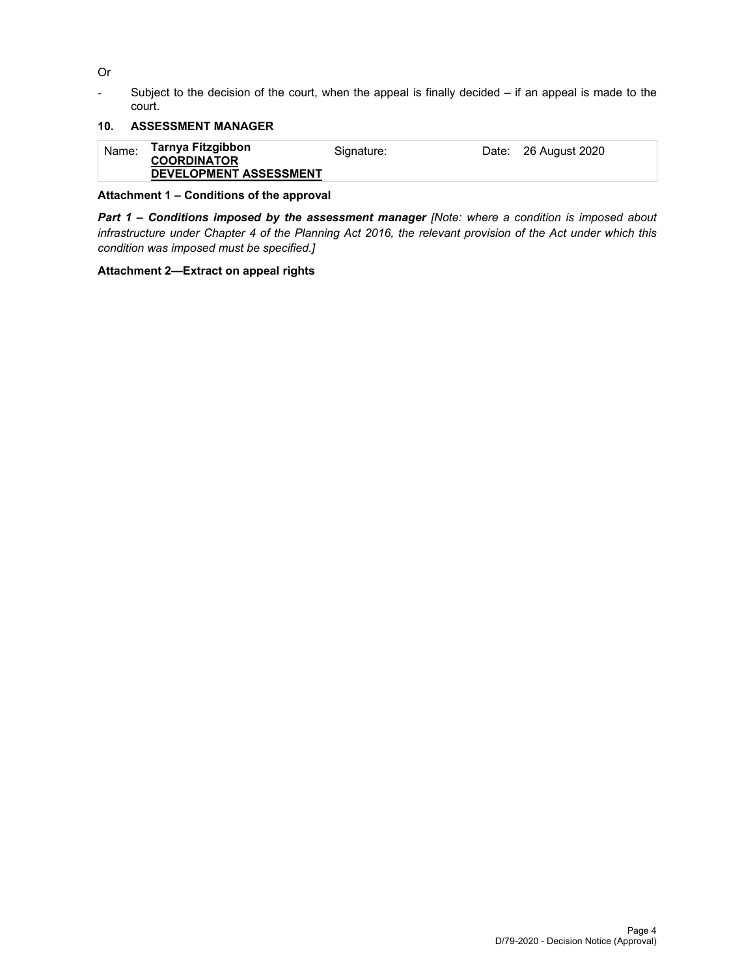Or

- Subject to the decision of the court, when the appeal is finally decided – if an appeal is made to the court.

## **10. ASSESSMENT MANAGER**

| Tarnya Fitzgibbon<br>Name:<br>Date: 26 August 2020<br>Signature:<br><b>COORDINATOR</b><br><b>DEVELOPMENT ASSESSMENT</b> |
|-------------------------------------------------------------------------------------------------------------------------|
|-------------------------------------------------------------------------------------------------------------------------|

#### **Attachment 1 – Conditions of the approval**

*Part 1* **–** *Conditions imposed by the assessment manager [Note: where a condition is imposed about infrastructure under Chapter 4 of the Planning Act 2016, the relevant provision of the Act under which this condition was imposed must be specified.]*

#### **Attachment 2—Extract on appeal rights**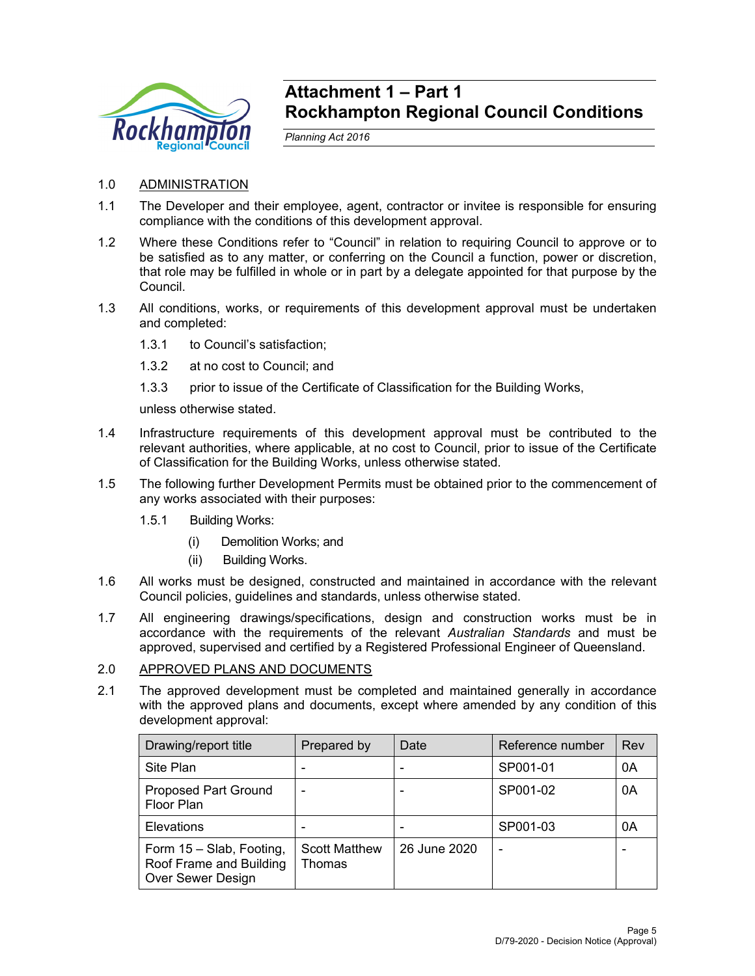

# **Attachment 1 – Part 1 Rockhampton Regional Council Conditions**

*Planning Act 2016* 

- 1.0 ADMINISTRATION
- 1.1 The Developer and their employee, agent, contractor or invitee is responsible for ensuring compliance with the conditions of this development approval.
- 1.2 Where these Conditions refer to "Council" in relation to requiring Council to approve or to be satisfied as to any matter, or conferring on the Council a function, power or discretion, that role may be fulfilled in whole or in part by a delegate appointed for that purpose by the Council.
- 1.3 All conditions, works, or requirements of this development approval must be undertaken and completed:
	- 1.3.1 to Council's satisfaction;
	- 1.3.2 at no cost to Council; and
	- 1.3.3 prior to issue of the Certificate of Classification for the Building Works,

unless otherwise stated.

- 1.4 Infrastructure requirements of this development approval must be contributed to the relevant authorities, where applicable, at no cost to Council, prior to issue of the Certificate of Classification for the Building Works, unless otherwise stated.
- 1.5 The following further Development Permits must be obtained prior to the commencement of any works associated with their purposes:
	- 1.5.1 Building Works:
		- (i) Demolition Works; and
		- (ii) Building Works.
- 1.6 All works must be designed, constructed and maintained in accordance with the relevant Council policies, guidelines and standards, unless otherwise stated.
- 1.7 All engineering drawings/specifications, design and construction works must be in accordance with the requirements of the relevant *Australian Standards* and must be approved, supervised and certified by a Registered Professional Engineer of Queensland.

#### 2.0 APPROVED PLANS AND DOCUMENTS

2.1 The approved development must be completed and maintained generally in accordance with the approved plans and documents, except where amended by any condition of this development approval:

| Drawing/report title                                                     | Prepared by                    | Date         | Reference number | Rev |
|--------------------------------------------------------------------------|--------------------------------|--------------|------------------|-----|
| Site Plan                                                                |                                |              | SP001-01         | 0A  |
| <b>Proposed Part Ground</b><br>Floor Plan                                |                                |              | SP001-02         | 0A  |
| Elevations                                                               |                                |              | SP001-03         | 0A  |
| Form 15 - Slab, Footing,<br>Roof Frame and Building<br>Over Sewer Design | <b>Scott Matthew</b><br>Thomas | 26 June 2020 |                  |     |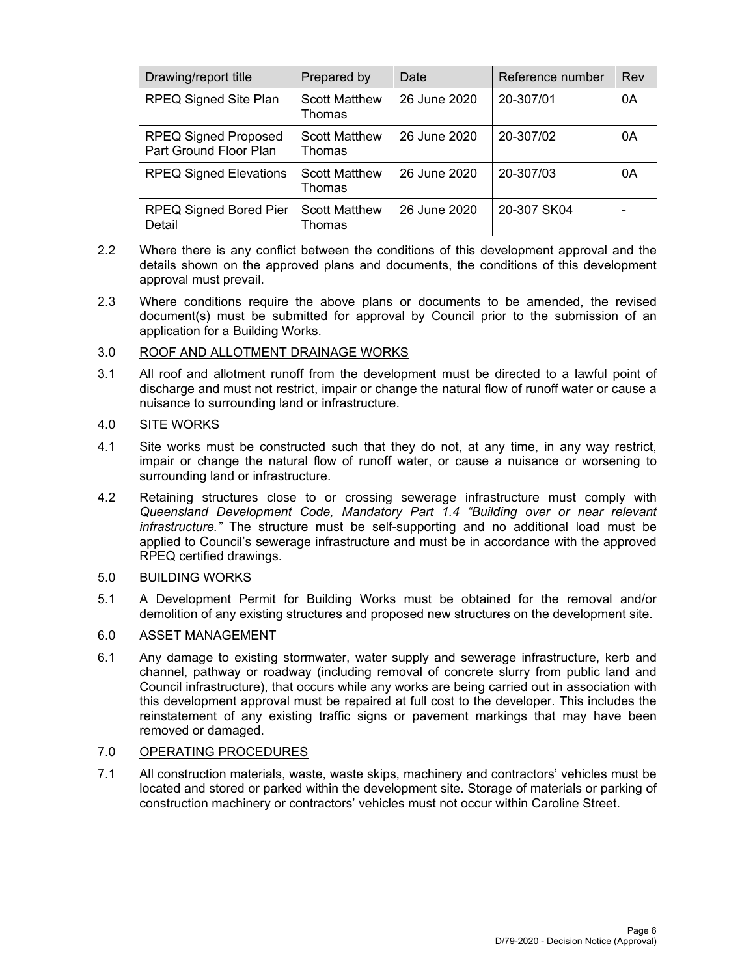| Drawing/report title                                  | Prepared by                    | Date         | Reference number | Rev |
|-------------------------------------------------------|--------------------------------|--------------|------------------|-----|
| <b>RPEQ Signed Site Plan</b>                          | <b>Scott Matthew</b><br>Thomas | 26 June 2020 | 20-307/01        | 0A  |
| <b>RPEQ Signed Proposed</b><br>Part Ground Floor Plan | <b>Scott Matthew</b><br>Thomas | 26 June 2020 | 20-307/02        | 0A  |
| <b>RPEQ Signed Elevations</b>                         | <b>Scott Matthew</b><br>Thomas | 26 June 2020 | 20-307/03        | 0A  |
| <b>RPEQ Signed Bored Pier</b><br>Detail               | <b>Scott Matthew</b><br>Thomas | 26 June 2020 | 20-307 SK04      |     |

- 2.2 Where there is any conflict between the conditions of this development approval and the details shown on the approved plans and documents, the conditions of this development approval must prevail.
- 2.3 Where conditions require the above plans or documents to be amended, the revised document(s) must be submitted for approval by Council prior to the submission of an application for a Building Works.

### 3.0 ROOF AND ALLOTMENT DRAINAGE WORKS

3.1 All roof and allotment runoff from the development must be directed to a lawful point of discharge and must not restrict, impair or change the natural flow of runoff water or cause a nuisance to surrounding land or infrastructure.

#### 4.0 SITE WORKS

- 4.1 Site works must be constructed such that they do not, at any time, in any way restrict, impair or change the natural flow of runoff water, or cause a nuisance or worsening to surrounding land or infrastructure.
- 4.2 Retaining structures close to or crossing sewerage infrastructure must comply with *Queensland Development Code, Mandatory Part 1.4 "Building over or near relevant infrastructure."* The structure must be self-supporting and no additional load must be applied to Council's sewerage infrastructure and must be in accordance with the approved RPEQ certified drawings.

#### 5.0 BUILDING WORKS

5.1 A Development Permit for Building Works must be obtained for the removal and/or demolition of any existing structures and proposed new structures on the development site.

#### 6.0 ASSET MANAGEMENT

6.1 Any damage to existing stormwater, water supply and sewerage infrastructure, kerb and channel, pathway or roadway (including removal of concrete slurry from public land and Council infrastructure), that occurs while any works are being carried out in association with this development approval must be repaired at full cost to the developer. This includes the reinstatement of any existing traffic signs or pavement markings that may have been removed or damaged.

### 7.0 OPERATING PROCEDURES

7.1 All construction materials, waste, waste skips, machinery and contractors' vehicles must be located and stored or parked within the development site. Storage of materials or parking of construction machinery or contractors' vehicles must not occur within Caroline Street.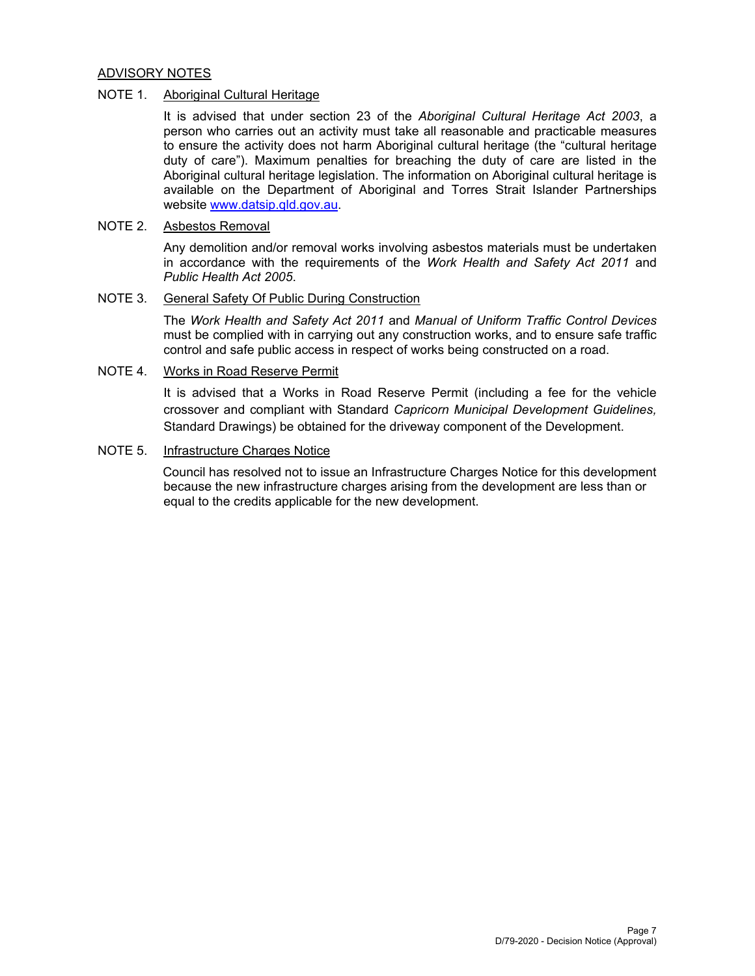#### ADVISORY NOTES

### NOTE 1. Aboriginal Cultural Heritage

It is advised that under section 23 of the *Aboriginal Cultural Heritage Act 2003*, a person who carries out an activity must take all reasonable and practicable measures to ensure the activity does not harm Aboriginal cultural heritage (the "cultural heritage duty of care"). Maximum penalties for breaching the duty of care are listed in the Aboriginal cultural heritage legislation. The information on Aboriginal cultural heritage is available on the Department of Aboriginal and Torres Strait Islander Partnerships website www.datsip.qld.gov.au.

#### NOTE 2. Asbestos Removal

Any demolition and/or removal works involving asbestos materials must be undertaken in accordance with the requirements of the *Work Health and Safety Act 2011* and *Public Health Act 2005*.

#### NOTE 3. General Safety Of Public During Construction

The *Work Health and Safety Act 2011* and *Manual of Uniform Traffic Control Devices* must be complied with in carrying out any construction works, and to ensure safe traffic control and safe public access in respect of works being constructed on a road.

#### NOTE 4. Works in Road Reserve Permit

It is advised that a Works in Road Reserve Permit (including a fee for the vehicle crossover and compliant with Standard *Capricorn Municipal Development Guidelines,* Standard Drawings) be obtained for the driveway component of the Development.

## NOTE 5. Infrastructure Charges Notice

Council has resolved not to issue an Infrastructure Charges Notice for this development because the new infrastructure charges arising from the development are less than or equal to the credits applicable for the new development.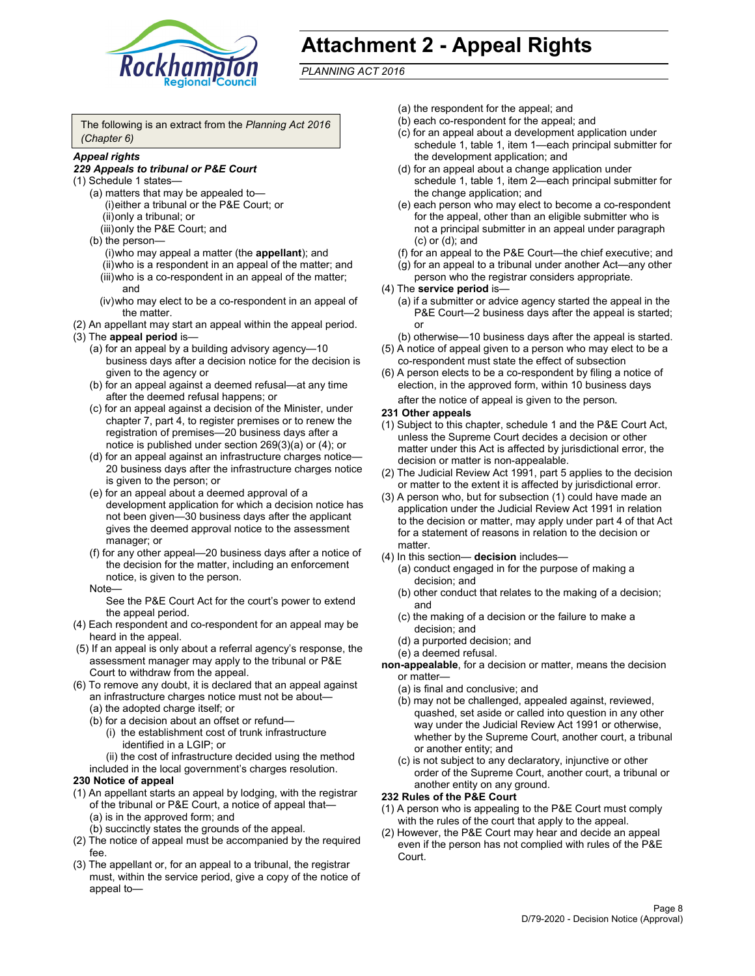

# **Attachment 2 - Appeal Rights**

*PLANNING ACT 2016*

The following is an extract from the *Planning Act 2016 (Chapter 6)*

#### *Appeal rights*

#### *229 Appeals to tribunal or P&E Court*

- (1) Schedule 1 states—
	- (a) matters that may be appealed to— (i) either a tribunal or the P&E Court; or (ii) only a tribunal; or (iii) only the P&E Court; and
	- (b) the person—
		- (i) who may appeal a matter (the **appellant**); and
		- (ii) who is a respondent in an appeal of the matter; and (iii) who is a co-respondent in an appeal of the matter; and
		- (iv) who may elect to be a co-respondent in an appeal of the matter.
- (2) An appellant may start an appeal within the appeal period.
- (3) The **appeal period** is—
	- (a) for an appeal by a building advisory agency—10 business days after a decision notice for the decision is given to the agency or
	- (b) for an appeal against a deemed refusal—at any time after the deemed refusal happens; or
	- (c) for an appeal against a decision of the Minister, under chapter 7, part 4, to register premises or to renew the registration of premises—20 business days after a notice is published under section 269(3)(a) or (4); or
	- (d) for an appeal against an infrastructure charges notice— 20 business days after the infrastructure charges notice is given to the person; or
	- (e) for an appeal about a deemed approval of a development application for which a decision notice has not been given—30 business days after the applicant gives the deemed approval notice to the assessment manager; or
	- (f) for any other appeal—20 business days after a notice of the decision for the matter, including an enforcement notice, is given to the person.

#### Note—

See the P&E Court Act for the court's power to extend the appeal period.

- (4) Each respondent and co-respondent for an appeal may be heard in the appeal.
- (5) If an appeal is only about a referral agency's response, the assessment manager may apply to the tribunal or P&E Court to withdraw from the appeal.
- (6) To remove any doubt, it is declared that an appeal against an infrastructure charges notice must not be about— (a) the adopted charge itself; or
	- (b) for a decision about an offset or refund—
		- (i) the establishment cost of trunk infrastructure identified in a LGIP; or
		- (ii) the cost of infrastructure decided using the method
	- included in the local government's charges resolution.

#### **230 Notice of appeal**

- (1) An appellant starts an appeal by lodging, with the registrar of the tribunal or P&E Court, a notice of appeal that— (a) is in the approved form; and
	- (b) succinctly states the grounds of the appeal.
- (2) The notice of appeal must be accompanied by the required fee.
- (3) The appellant or, for an appeal to a tribunal, the registrar must, within the service period, give a copy of the notice of appeal to—
- (a) the respondent for the appeal; and
- (b) each co-respondent for the appeal; and
- (c) for an appeal about a development application under schedule 1, table 1, item 1—each principal submitter for the development application; and
- (d) for an appeal about a change application under schedule 1, table 1, item 2—each principal submitter for the change application; and
- (e) each person who may elect to become a co-respondent for the appeal, other than an eligible submitter who is not a principal submitter in an appeal under paragraph (c) or (d); and
- (f) for an appeal to the P&E Court—the chief executive; and
- (g) for an appeal to a tribunal under another Act—any other person who the registrar considers appropriate.
- (4) The **service period** is—
	- (a) if a submitter or advice agency started the appeal in the P&E Court-2 business days after the appeal is started; or
	- (b) otherwise—10 business days after the appeal is started.
- (5) A notice of appeal given to a person who may elect to be a co-respondent must state the effect of subsection
- (6) A person elects to be a co-respondent by filing a notice of election, in the approved form, within 10 business days
	- after the notice of appeal is given to the person*.*
- **231 Other appeals**
- (1) Subject to this chapter, schedule 1 and the P&E Court Act, unless the Supreme Court decides a decision or other matter under this Act is affected by jurisdictional error, the decision or matter is non-appealable.
- (2) The Judicial Review Act 1991, part 5 applies to the decision or matter to the extent it is affected by jurisdictional error.
- (3) A person who, but for subsection (1) could have made an application under the Judicial Review Act 1991 in relation to the decision or matter, may apply under part 4 of that Act for a statement of reasons in relation to the decision or matter.
- (4) In this section— **decision** includes—
	- (a) conduct engaged in for the purpose of making a decision; and
	- (b) other conduct that relates to the making of a decision; and
	- (c) the making of a decision or the failure to make a decision; and
	- (d) a purported decision; and
	- (e) a deemed refusal.

**non-appealable**, for a decision or matter, means the decision or matter—

- (a) is final and conclusive; and
- (b) may not be challenged, appealed against, reviewed, quashed, set aside or called into question in any other way under the Judicial Review Act 1991 or otherwise, whether by the Supreme Court, another court, a tribunal or another entity; and
- (c) is not subject to any declaratory, injunctive or other order of the Supreme Court, another court, a tribunal or another entity on any ground.

#### **232 Rules of the P&E Court**

- (1) A person who is appealing to the P&E Court must comply with the rules of the court that apply to the appeal.
- (2) However, the P&E Court may hear and decide an appeal even if the person has not complied with rules of the P&E Court.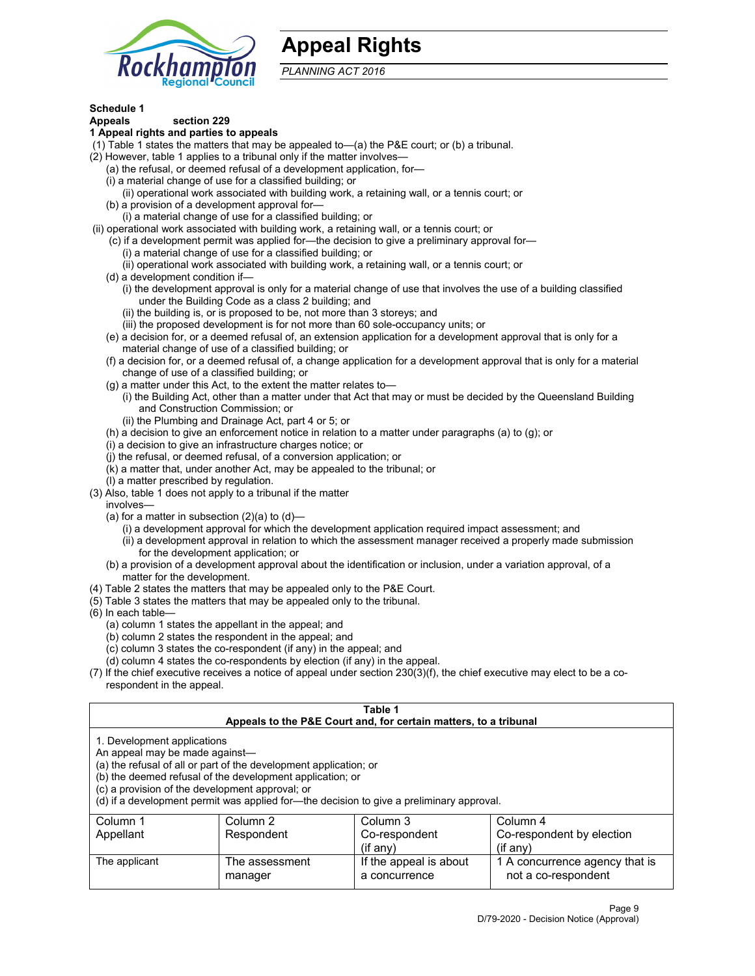

# **Appeal Rights**

*PLANNING ACT 2016*

# **Schedule 1**

# **Appeals section 229**

- **1 Appeal rights and parties to appeals**
- (1) Table 1 states the matters that may be appealed to—(a) the P&E court; or (b) a tribunal.
- (2) However, table 1 applies to a tribunal only if the matter involves—
	- (a) the refusal, or deemed refusal of a development application, for—
	- (i) a material change of use for a classified building; or
	- (ii) operational work associated with building work, a retaining wall, or a tennis court; or
	- (b) a provision of a development approval for—
	- (i) a material change of use for a classified building; or
- (ii) operational work associated with building work, a retaining wall, or a tennis court; or
	- (c) if a development permit was applied for—the decision to give a preliminary approval for— (i) a material change of use for a classified building; or
		- (ii) operational work associated with building work, a retaining wall, or a tennis court; or
	- (d) a development condition if—
		- (i) the development approval is only for a material change of use that involves the use of a building classified under the Building Code as a class 2 building; and
		- (ii) the building is, or is proposed to be, not more than 3 storeys; and
		- (iii) the proposed development is for not more than 60 sole-occupancy units; or
	- (e) a decision for, or a deemed refusal of, an extension application for a development approval that is only for a material change of use of a classified building; or
	- (f) a decision for, or a deemed refusal of, a change application for a development approval that is only for a material change of use of a classified building; or
	- (g) a matter under this Act, to the extent the matter relates to—
		- (i) the Building Act, other than a matter under that Act that may or must be decided by the Queensland Building and Construction Commission; or
		- (ii) the Plumbing and Drainage Act, part 4 or 5; or
	- (h) a decision to give an enforcement notice in relation to a matter under paragraphs (a) to (g); or
	- (i) a decision to give an infrastructure charges notice; or
	- (j) the refusal, or deemed refusal, of a conversion application; or
	- (k) a matter that, under another Act, may be appealed to the tribunal; or
	- (l) a matter prescribed by regulation.
- (3) Also, table 1 does not apply to a tribunal if the matter
	- involves—
		- (a) for a matter in subsection  $(2)(a)$  to  $(d)$ 
			- (i) a development approval for which the development application required impact assessment; and
			- (ii) a development approval in relation to which the assessment manager received a properly made submission for the development application; or
	- (b) a provision of a development approval about the identification or inclusion, under a variation approval, of a matter for the development.
- (4) Table 2 states the matters that may be appealed only to the P&E Court.
- (5) Table 3 states the matters that may be appealed only to the tribunal.
- (6) In each table—
	- (a) column 1 states the appellant in the appeal; and
	- (b) column 2 states the respondent in the appeal; and
	- (c) column 3 states the co-respondent (if any) in the appeal; and
	- (d) column 4 states the co-respondents by election (if any) in the appeal.
- (7) If the chief executive receives a notice of appeal under section 230(3)(f), the chief executive may elect to be a corespondent in the appeal.

| Table 1<br>Appeals to the P&E Court and, for certain matters, to a tribunal                                                                                                                                                                                                                                                                    |                                  |                                         |                                                       |  |  |
|------------------------------------------------------------------------------------------------------------------------------------------------------------------------------------------------------------------------------------------------------------------------------------------------------------------------------------------------|----------------------------------|-----------------------------------------|-------------------------------------------------------|--|--|
| 1. Development applications<br>An appeal may be made against-<br>(a) the refusal of all or part of the development application; or<br>(b) the deemed refusal of the development application; or<br>(c) a provision of the development approval; or<br>(d) if a development permit was applied for—the decision to give a preliminary approval. |                                  |                                         |                                                       |  |  |
| Column 1                                                                                                                                                                                                                                                                                                                                       | Column 3<br>Column 4<br>Column 2 |                                         |                                                       |  |  |
| Appellant                                                                                                                                                                                                                                                                                                                                      | Respondent                       | Co-respondent                           | Co-respondent by election                             |  |  |
| $(if$ any)<br>$($ if any $)$                                                                                                                                                                                                                                                                                                                   |                                  |                                         |                                                       |  |  |
| The applicant                                                                                                                                                                                                                                                                                                                                  | The assessment<br>manager        | If the appeal is about<br>a concurrence | 1 A concurrence agency that is<br>not a co-respondent |  |  |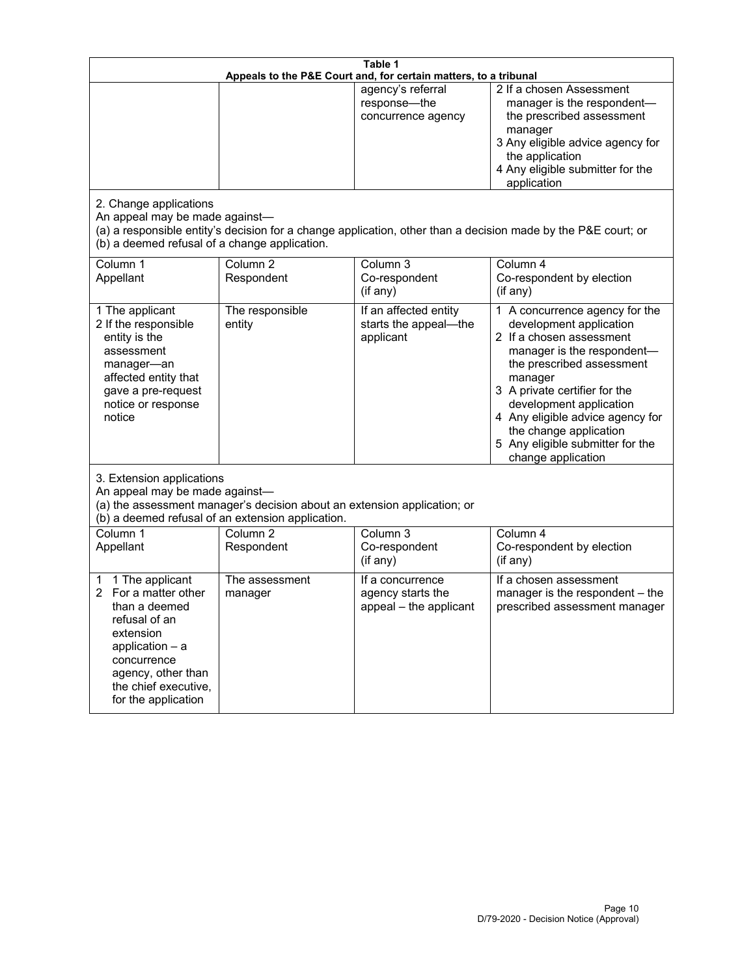| Table 1<br>Appeals to the P&E Court and, for certain matters, to a tribunal                                                                                                                        |                                     |                                                                 |                                                                                                                                                                                                                                                                                                                                                 |  |
|----------------------------------------------------------------------------------------------------------------------------------------------------------------------------------------------------|-------------------------------------|-----------------------------------------------------------------|-------------------------------------------------------------------------------------------------------------------------------------------------------------------------------------------------------------------------------------------------------------------------------------------------------------------------------------------------|--|
| 2. Change applications<br>An appeal may be made against-                                                                                                                                           |                                     | agency's referral<br>response-the<br>concurrence agency         | 2 If a chosen Assessment<br>manager is the respondent-<br>the prescribed assessment<br>manager<br>3 Any eligible advice agency for<br>the application<br>4 Any eligible submitter for the<br>application<br>(a) a responsible entity's decision for a change application, other than a decision made by the P&E court; or                       |  |
| (b) a deemed refusal of a change application.<br>Column 1<br>Appellant                                                                                                                             | Column $\overline{2}$<br>Respondent | Column 3<br>Co-respondent<br>(if any)                           | Column 4<br>Co-respondent by election<br>(if any)                                                                                                                                                                                                                                                                                               |  |
| 1 The applicant<br>2 If the responsible<br>entity is the<br>assessment<br>manager-an<br>affected entity that<br>gave a pre-request<br>notice or response<br>notice                                 | The responsible<br>entity           | If an affected entity<br>starts the appeal-the<br>applicant     | 1 A concurrence agency for the<br>development application<br>2 If a chosen assessment<br>manager is the respondent-<br>the prescribed assessment<br>manager<br>3 A private certifier for the<br>development application<br>4 Any eligible advice agency for<br>the change application<br>5 Any eligible submitter for the<br>change application |  |
| 3. Extension applications<br>An appeal may be made against-<br>(a) the assessment manager's decision about an extension application; or<br>(b) a deemed refusal of an extension application.       |                                     |                                                                 |                                                                                                                                                                                                                                                                                                                                                 |  |
| Column 1<br>Appellant                                                                                                                                                                              | Column <sub>2</sub><br>Respondent   | Column 3<br>Co-respondent<br>(if any)                           | Column 4<br>Co-respondent by election<br>(if any)                                                                                                                                                                                                                                                                                               |  |
| 1 The applicant<br>1<br>For a matter other<br>than a deemed<br>refusal of an<br>extension<br>application $-$ a<br>concurrence<br>agency, other than<br>the chief executive,<br>for the application | The assessment<br>manager           | If a concurrence<br>agency starts the<br>appeal - the applicant | If a chosen assessment<br>manager is the respondent - the<br>prescribed assessment manager                                                                                                                                                                                                                                                      |  |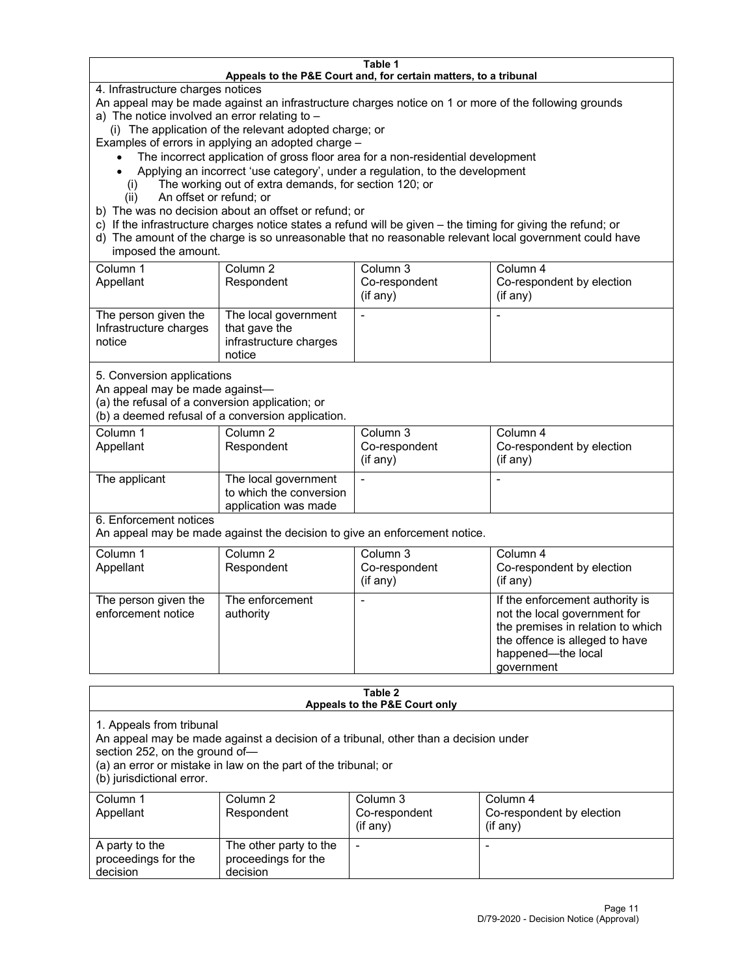#### **Table 1 Appeals to the P&E Court and, for certain matters, to a tribunal**

4. Infrastructure charges notices

An appeal may be made against an infrastructure charges notice on 1 or more of the following grounds

- a) The notice involved an error relating to
	- (i) The application of the relevant adopted charge; or

Examples of errors in applying an adopted charge –

- The incorrect application of gross floor area for a non-residential development
- Applying an incorrect 'use category', under a regulation, to the development
- (i) The working out of extra demands, for section 120; or
- (ii) An offset or refund; or
- b) The was no decision about an offset or refund; or
- c) If the infrastructure charges notice states a refund will be given the timing for giving the refund; or
- d) The amount of the charge is so unreasonable that no reasonable relevant local government could have imposed the amount.

| Column 1<br>Appellant                                    | Column 2<br>Respondent                                                    | Column 3<br>Co-respondent<br>(i f any) | Column 4<br>Co-respondent by election<br>(i f any) |
|----------------------------------------------------------|---------------------------------------------------------------------------|----------------------------------------|----------------------------------------------------|
| The person given the<br>Infrastructure charges<br>notice | The local government<br>that gave the<br>infrastructure charges<br>notice |                                        |                                                    |

5. Conversion applications

An appeal may be made against—

(a) the refusal of a conversion application; or

(b) a deemed refusal of a conversion application.

| Column 1      | Column 2                | Column 3       | Column 4                  |
|---------------|-------------------------|----------------|---------------------------|
| Appellant     | Respondent              | Co-respondent  | Co-respondent by election |
|               |                         | $($ if any $)$ | $(if$ any)                |
|               |                         |                |                           |
| The applicant | The local government    |                |                           |
|               | to which the conversion |                |                           |
|               | application was made    |                |                           |

6. Enforcement notices

An appeal may be made against the decision to give an enforcement notice.

| Column 1<br>Appellant                      | Column 2<br>Respondent       | Column 3<br>Co-respondent<br>$($ if any $)$ | Column 4<br>Co-respondent by election<br>$($ if any $)$                                                                                                                    |
|--------------------------------------------|------------------------------|---------------------------------------------|----------------------------------------------------------------------------------------------------------------------------------------------------------------------------|
| The person given the<br>enforcement notice | The enforcement<br>authority |                                             | If the enforcement authority is<br>not the local government for<br>the premises in relation to which<br>the offence is alleged to have<br>happened-the local<br>government |

#### **Table 2 Appeals to the P&E Court only**

1. Appeals from tribunal

An appeal may be made against a decision of a tribunal, other than a decision under

section 252, on the ground of—

(a) an error or mistake in law on the part of the tribunal; or

(b) jurisdictional error.

| Column 1<br>Appellant                             | Column 2<br>Respondent                                    | Column 3<br>Co-respondent<br>$(if$ any) | Column 4<br>Co-respondent by election<br>$(if$ any) |
|---------------------------------------------------|-----------------------------------------------------------|-----------------------------------------|-----------------------------------------------------|
| A party to the<br>proceedings for the<br>decision | The other party to the<br>proceedings for the<br>decision | $\overline{\phantom{a}}$                |                                                     |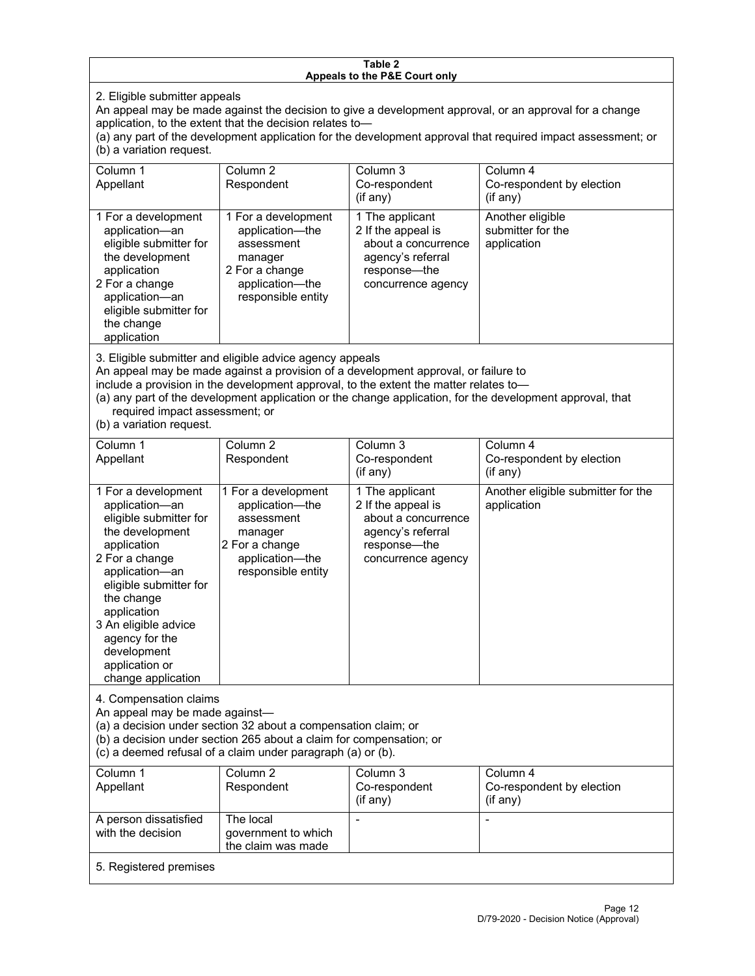#### **Table 2 Appeals to the P&E Court only**

2. Eligible submitter appeals

An appeal may be made against the decision to give a development approval, or an approval for a change application, to the extent that the decision relates to—

(a) any part of the development application for the development approval that required impact assessment; or (b) a variation request.

| Column 1<br>Appellant                                                                                                                                                                        | Column 2<br>Respondent                                                                                                     | Column 3<br>Co-respondent<br>$(i$ f any $)$                                                                             | Column 4<br>Co-respondent by election<br>$($ if any $)$ |
|----------------------------------------------------------------------------------------------------------------------------------------------------------------------------------------------|----------------------------------------------------------------------------------------------------------------------------|-------------------------------------------------------------------------------------------------------------------------|---------------------------------------------------------|
| 1 For a development<br>application-an<br>eligible submitter for<br>the development<br>application<br>2 For a change<br>application-an<br>eligible submitter for<br>the change<br>application | 1 For a development<br>application-the<br>assessment<br>manager<br>2 For a change<br>application-the<br>responsible entity | 1 The applicant<br>2 If the appeal is<br>about a concurrence<br>agency's referral<br>response—the<br>concurrence agency | Another eligible<br>submitter for the<br>application    |

3. Eligible submitter and eligible advice agency appeals

An appeal may be made against a provision of a development approval, or failure to

include a provision in the development approval, to the extent the matter relates to—

(a) any part of the development application or the change application, for the development approval, that required impact assessment; or

(b) a variation request.

| Column 1<br>Appellant                                                                                                                                                                                                                                                                         | Column <sub>2</sub><br>Respondent                                                                                          | Column 3<br>Co-respondent<br>(if any)                                                                                     | Column 4<br>Co-respondent by election<br>(if any) |  |
|-----------------------------------------------------------------------------------------------------------------------------------------------------------------------------------------------------------------------------------------------------------------------------------------------|----------------------------------------------------------------------------------------------------------------------------|---------------------------------------------------------------------------------------------------------------------------|---------------------------------------------------|--|
| 1 For a development<br>application-an<br>eligible submitter for<br>the development<br>application<br>2 For a change<br>application-an<br>eligible submitter for<br>the change<br>application<br>3 An eligible advice<br>agency for the<br>development<br>application or<br>change application | 1 For a development<br>application-the<br>assessment<br>manager<br>2 For a change<br>application-the<br>responsible entity | 1 The applicant<br>2 If the appeal is<br>about a concurrence<br>agency's referral<br>response---the<br>concurrence agency | Another eligible submitter for the<br>application |  |
| 4. Compensation claims<br>An appeal may be made against-<br>(a) a decision under section 32 about a compensation claim; or<br>(b) a decision under section 265 about a claim for compensation; or<br>(c) a deemed refusal of a claim under paragraph (a) or (b).                              |                                                                                                                            |                                                                                                                           |                                                   |  |
| Column <sub>1</sub><br>Appellant                                                                                                                                                                                                                                                              | Column <sub>2</sub><br>Respondent                                                                                          | Column 3<br>Co-respondent<br>(if any)                                                                                     | Column 4<br>Co-respondent by election<br>(if any) |  |
| A person dissatisfied<br>with the decision                                                                                                                                                                                                                                                    | The local<br>government to which<br>the claim was made                                                                     |                                                                                                                           |                                                   |  |
| 5. Registered premises                                                                                                                                                                                                                                                                        |                                                                                                                            |                                                                                                                           |                                                   |  |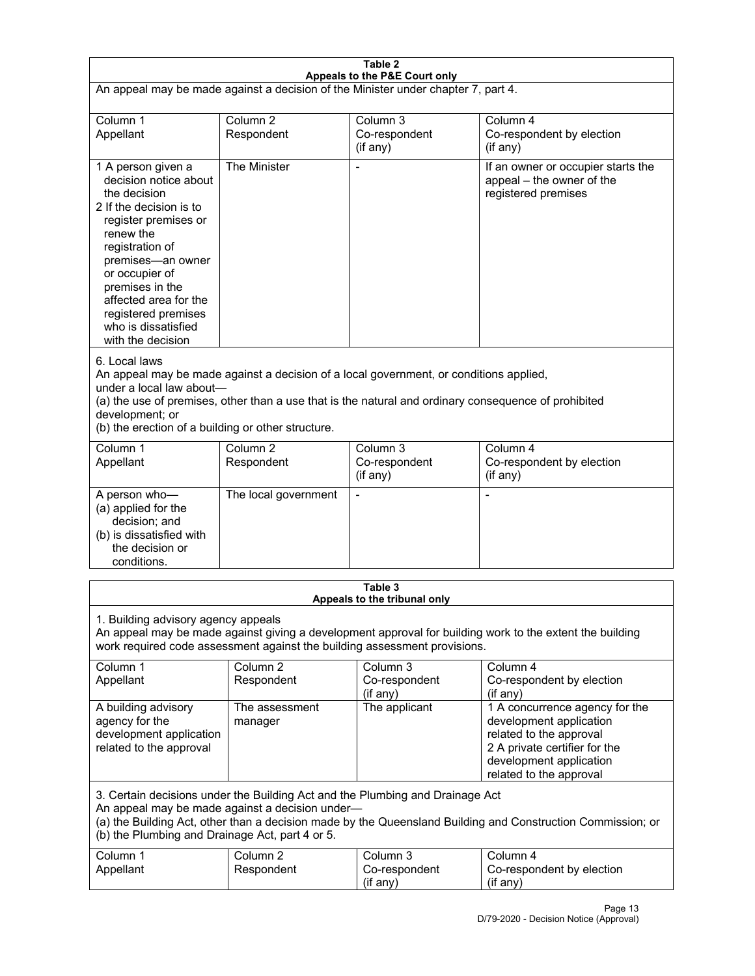| Table 2<br>Appeals to the P&E Court only                                                                                                                                                                                                                                                                             |                                   |                                                  |                                                                                                                                                                             |  |
|----------------------------------------------------------------------------------------------------------------------------------------------------------------------------------------------------------------------------------------------------------------------------------------------------------------------|-----------------------------------|--------------------------------------------------|-----------------------------------------------------------------------------------------------------------------------------------------------------------------------------|--|
| An appeal may be made against a decision of the Minister under chapter 7, part 4.                                                                                                                                                                                                                                    |                                   |                                                  |                                                                                                                                                                             |  |
| Column 1<br>Appellant                                                                                                                                                                                                                                                                                                | Column <sub>2</sub><br>Respondent | Column <sub>3</sub><br>Co-respondent<br>(if any) | Column 4<br>Co-respondent by election<br>(if any)                                                                                                                           |  |
| 1 A person given a<br>decision notice about<br>the decision<br>2 If the decision is to<br>register premises or<br>renew the<br>registration of<br>premises-an owner<br>or occupier of<br>premises in the<br>affected area for the<br>registered premises<br>who is dissatisfied<br>with the decision                 | The Minister                      | Ĭ.                                               | If an owner or occupier starts the<br>appeal - the owner of the<br>registered premises                                                                                      |  |
| 6. Local laws<br>An appeal may be made against a decision of a local government, or conditions applied,<br>under a local law about-<br>(a) the use of premises, other than a use that is the natural and ordinary consequence of prohibited<br>development; or<br>(b) the erection of a building or other structure. |                                   |                                                  |                                                                                                                                                                             |  |
| Column 1<br>Appellant                                                                                                                                                                                                                                                                                                | Column <sub>2</sub><br>Respondent | Column 3<br>Co-respondent<br>(if any)            | Column 4<br>Co-respondent by election<br>(if any)                                                                                                                           |  |
| A person who-<br>(a) applied for the<br>decision; and<br>(b) is dissatisfied with<br>the decision or<br>conditions.                                                                                                                                                                                                  | The local government              | L,                                               | $\overline{a}$                                                                                                                                                              |  |
|                                                                                                                                                                                                                                                                                                                      |                                   | Table 3<br>Appeals to the tribunal only          |                                                                                                                                                                             |  |
| 1. Building advisory agency appeals<br>An appeal may be made against giving a development approval for building work to the extent the building<br>work required code assessment against the building assessment provisions.                                                                                         |                                   |                                                  |                                                                                                                                                                             |  |
| Column 1<br>Appellant                                                                                                                                                                                                                                                                                                | Column <sub>2</sub><br>Respondent | Column 3<br>Co-respondent<br>(if any)            | Column 4<br>Co-respondent by election<br>(if any)                                                                                                                           |  |
| A building advisory<br>agency for the<br>development application<br>related to the approval                                                                                                                                                                                                                          | The assessment<br>manager         | The applicant                                    | 1 A concurrence agency for the<br>development application<br>related to the approval<br>2 A private certifier for the<br>development application<br>related to the approval |  |
| 3. Certain decisions under the Building Act and the Plumbing and Drainage Act<br>An appeal may be made against a decision under-<br>(a) the Building Act, other than a decision made by the Queensland Building and Construction Commission; or<br>(b) the Plumbing and Drainage Act, part 4 or 5.                   |                                   |                                                  |                                                                                                                                                                             |  |
| Column 1<br>Appellant                                                                                                                                                                                                                                                                                                | Column <sub>2</sub><br>Respondent | Column 3<br>Co-respondent<br>(if any)            | Column 4<br>Co-respondent by election<br>(if any)                                                                                                                           |  |